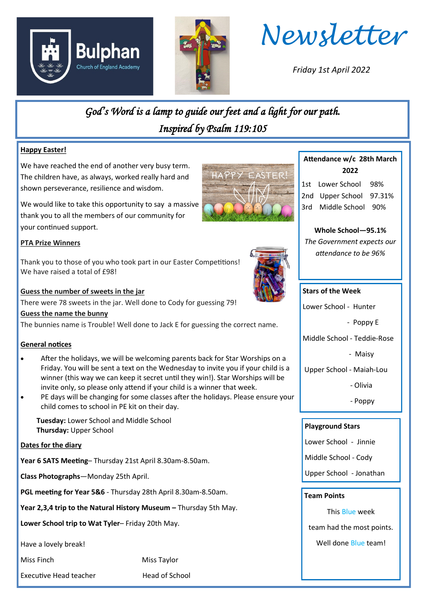





*Friday 1st April 2022*

*God's Word is a lamp to guide our feet and a light for our path. Inspired by Psalm 119:105* 

## **Happy Easter!**

We have reached the end of another very busy term. The children have, as always, worked really hard and shown perseverance, resilience and wisdom.

We would like to take this opportunity to say a massive thank you to all the members of our community for your continued support.

## **PTA Prize Winners**

Thank you to those of you who took part in our Easter Competitions! We have raised a total of £98!

## **Guess the number of sweets in the jar**

There were 78 sweets in the jar. Well done to Cody for guessing 79!

#### **Guess the name the bunny**

The bunnies name is Trouble! Well done to Jack E for guessing the correct name.

## **General notices**

- After the holidays, we will be welcoming parents back for Star Worships on a Friday. You will be sent a text on the Wednesday to invite you if your child is a winner (this way we can keep it secret until they win!). Star Worships will be invite only, so please only attend if your child is a winner that week.
- PE days will be changing for some classes after the holidays. Please ensure your child comes to school in PE kit on their day.

 **Tuesday:** Lower School and Middle School **Thursday:** Upper School

#### **Dates for the diary**

**Year 6 SATS Meeting**– Thursday 21st April 8.30am-8.50am.

**Class Photographs**—Monday 25th April.

**PGL meeting for Year 5&6** - Thursday 28th April 8.30am-8.50am.

**Year 2,3,4 trip to the Natural History Museum –** Thursday 5th May.

**Lower School trip to Wat Tyler**– Friday 20th May.

Have a lovely break!

Miss Finch Miss Taylor

Executive Head teacher **Head of School** 



# **Attendance w/c 28th March 2022**

1st Lower School 98% 2nd Upper School 97.31% 3rd Middle School 90%

**Whole School—95.1%** *The Government expects our attendance to be 96%*

## **Stars of the Week**

Lower School - Hunter

- Poppy E

Middle School - Teddie-Rose

- Maisy

Upper School - Maiah-Lou

- Olivia

- Poppy

## **Playground Stars**

Lower School - Jinnie

Middle School - Cody

Upper School - Jonathan

## **Team Points**

This Blue week

team had the most points.

Well done Blue team!